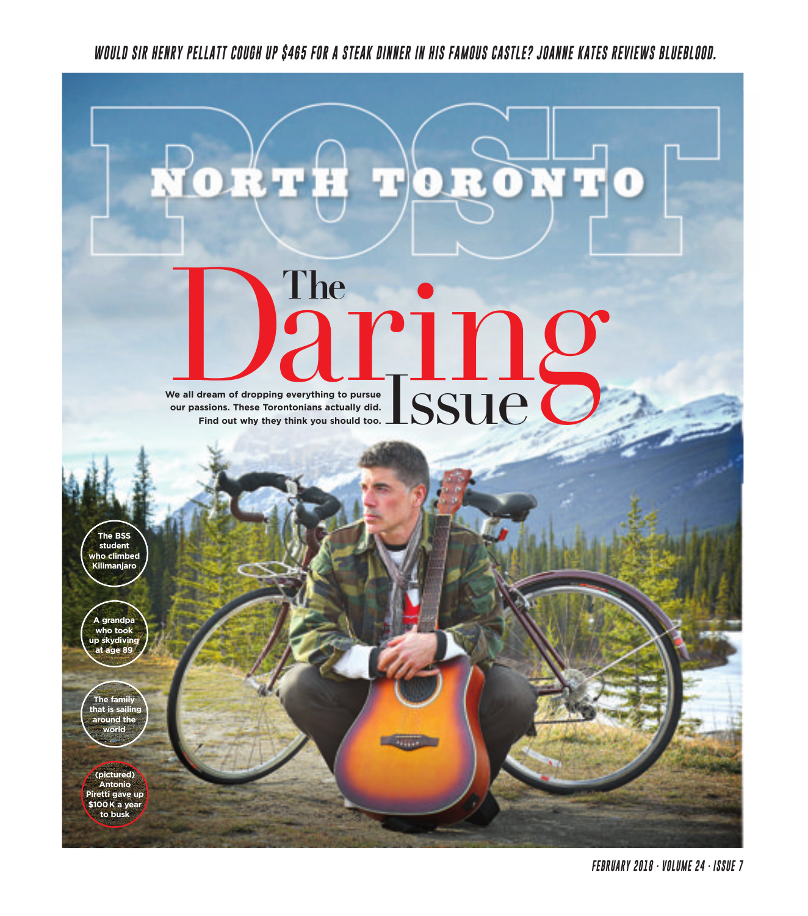WOULD SIR HENRY PELLATT COUGH UP \$465 FOR A STEAK DINNER IN HIS FAMOUS CASTLE? JOANNE KATES REVIEWS BLUEBLOOD.

g

# **We all dream of dropping everything to pursue our passions. These Torontonians actually did.** We all dream of dropping<br>our passions. These Toron **Find out why they think you should too.** The **CARTILES The** Issue

**The BSS student who climbed Kilimanjaro**

**A grandpa who took up skydiving age** 8

**The family that is sailing around the world**

**(pictured) Antonio Piretti gave up \$100K a year to busk**

**FEBRUARY 2018 · VOLUME 24 · ISSUE 7**

0